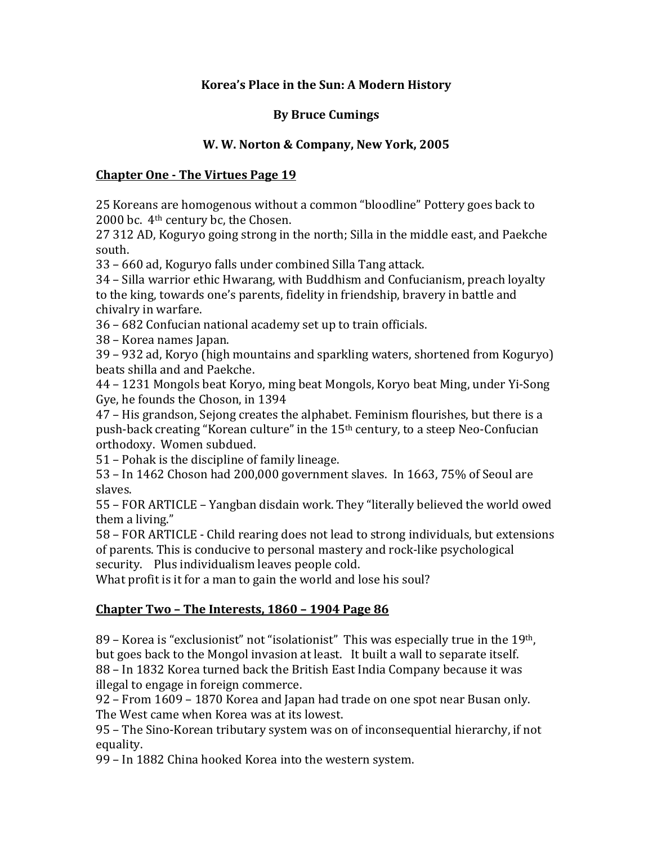### Korea's Place in the Sun: A Modern History

### **By Bruce Cumings**

### **W. W. Norton & Company, New York, 2005**

#### **Chapter One - The Virtues Page 19**

25 Koreans are homogenous without a common "bloodline" Pottery goes back to 2000 bc.  $4<sup>th</sup>$  century bc, the Chosen.

27 312 AD, Koguryo going strong in the north; Silla in the middle east, and Paekche south.

33 – 660 ad, Koguryo falls under combined Silla Tang attack.

 $34$  – Silla warrior ethic Hwarang, with Buddhism and Confucianism, preach loyalty to the king, towards one's parents, fidelity in friendship, bravery in battle and chivalry in warfare.

36 – 682 Confucian national academy set up to train officials.

38 – Korea names Japan.

 $39 - 932$  ad, Koryo (high mountains and sparkling waters, shortened from Koguryo) beats shilla and and Paekche.

44 – 1231 Mongols beat Koryo, ming beat Mongols, Koryo beat Ming, under Yi-Song Gye, he founds the Choson, in 1394

47 – His grandson, Sejong creates the alphabet. Feminism flourishes, but there is a push-back creating "Korean culture" in the 15<sup>th</sup> century, to a steep Neo-Confucian orthodoxy. Women subdued.

51 – Pohak is the discipline of family lineage.

53 - In 1462 Choson had 200,000 government slaves. In 1663, 75% of Seoul are slaves. 

55 – FOR ARTICLE – Yangban disdain work. They "literally believed the world owed them a living."

58 – FOR ARTICLE - Child rearing does not lead to strong individuals, but extensions of parents. This is conducive to personal mastery and rock-like psychological security. Plus individualism leaves people cold.

What profit is it for a man to gain the world and lose his soul?

## **Chapter Two - The Interests, 1860 - 1904 Page 86**

 $89$  – Korea is "exclusionist" not "isolationist" This was especially true in the  $19<sup>th</sup>$ . but goes back to the Mongol invasion at least. It built a wall to separate itself. 88 – In 1832 Korea turned back the British East India Company because it was illegal to engage in foreign commerce.

92 – From 1609 – 1870 Korea and Japan had trade on one spot near Busan only. The West came when Korea was at its lowest.

95 – The Sino-Korean tributary system was on of inconsequential hierarchy, if not equality. 

99 – In 1882 China hooked Korea into the western system.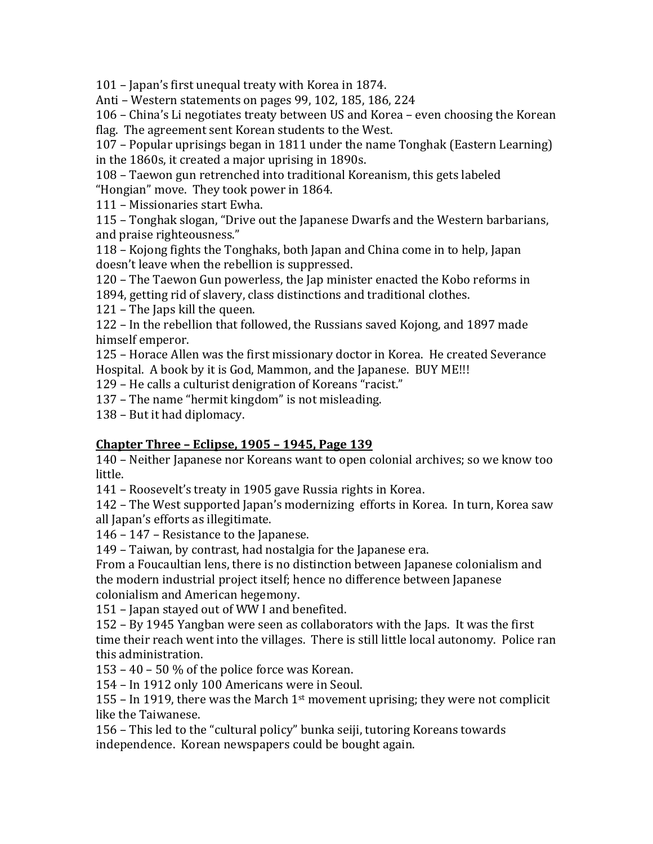101 – Japan's first unequal treaty with Korea in 1874.

Anti – Western statements on pages  $99, 102, 185, 186, 224$ 

106 – China's Li negotiates treaty between US and Korea – even choosing the Korean flag. The agreement sent Korean students to the West.

107 – Popular uprisings began in 1811 under the name Tonghak (Eastern Learning) in the 1860s, it created a major uprising in 1890s.

108 – Taewon gun retrenched into traditional Koreanism, this gets labeled "Hongian" move. They took power in 1864.

111 - Missionaries start Ewha.

115 – Tonghak slogan, "Drive out the Japanese Dwarfs and the Western barbarians, and praise righteousness."

118 – Koiong fights the Tonghaks, both Japan and China come in to help, Japan doesn't leave when the rebellion is suppressed.

120 – The Taewon Gun powerless, the Jap minister enacted the Kobo reforms in

1894, getting rid of slavery, class distinctions and traditional clothes.

 $121$  – The Japs kill the queen.

122 – In the rebellion that followed, the Russians saved Kojong, and 1897 made himself emperor.

125 – Horace Allen was the first missionary doctor in Korea. He created Severance Hospital. A book by it is God, Mammon, and the Japanese. BUY ME!!!

129 – He calls a culturist denigration of Koreans "racist."

137 – The name "hermit kingdom" is not misleading.

138 – But it had diplomacy.

## <u>Chapter Three - Eclipse, 1905 - 1945, Page 139</u>

140 – Neither Japanese nor Koreans want to open colonial archives; so we know too little. 

141 – Roosevelt's treaty in 1905 gave Russia rights in Korea.

142 - The West supported Japan's modernizing efforts in Korea. In turn, Korea saw all Japan's efforts as illegitimate.

 $146 - 147$  – Resistance to the Japanese.

149 – Taiwan, by contrast, had nostalgia for the Japanese era.

From a Foucaultian lens, there is no distinction between Japanese colonialism and the modern industrial project itself; hence no difference between Japanese colonialism and American hegemony.

151 – Japan stayed out of WW I and benefited.

152 – By 1945 Yangban were seen as collaborators with the Japs. It was the first time their reach went into the villages. There is still little local autonomy. Police ran this administration.

153 – 40 – 50  $\%$  of the police force was Korean.

154 – In 1912 only 100 Americans were in Seoul.

155 – In 1919, there was the March  $1<sup>st</sup>$  movement uprising; they were not complicit like the Taiwanese.

156 – This led to the "cultural policy" bunka seiji, tutoring Koreans towards independence. Korean newspapers could be bought again.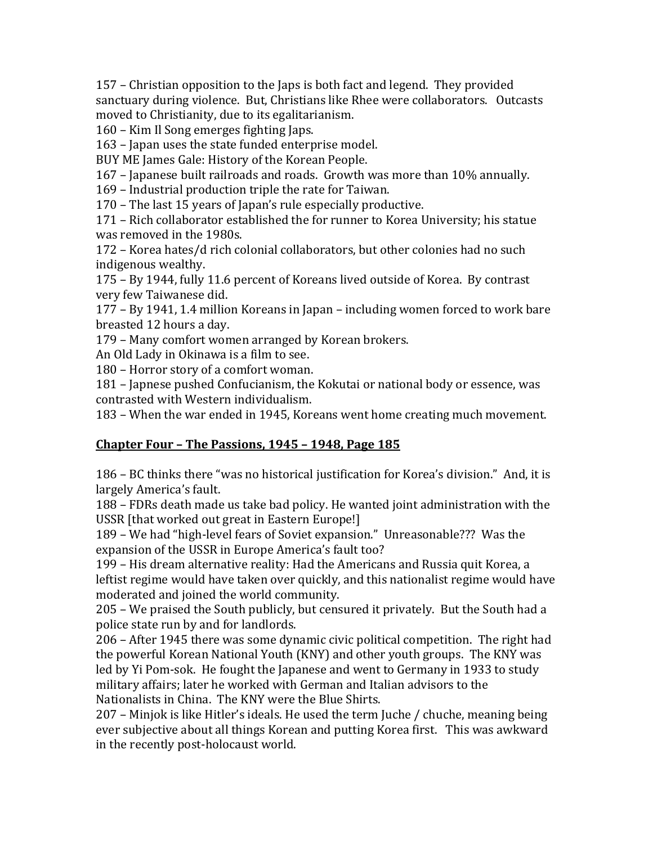157 – Christian opposition to the Japs is both fact and legend. They provided sanctuary during violence. But, Christians like Rhee were collaborators. Outcasts moved to Christianity, due to its egalitarianism.

160 – Kim Il Song emerges fighting Japs.

163 – Japan uses the state funded enterprise model.

BUY ME James Gale: History of the Korean People.

167 – Japanese built railroads and roads. Growth was more than  $10\%$  annually.

169 – Industrial production triple the rate for Taiwan.

170 – The last 15 years of Japan's rule especially productive.

171 – Rich collaborator established the for runner to Korea University; his statue was removed in the 1980s.

172 – Korea hates/d rich colonial collaborators, but other colonies had no such indigenous wealthy.

175 – By 1944, fully 11.6 percent of Koreans lived outside of Korea. By contrast very few Taiwanese did.

177 – By 1941, 1.4 million Koreans in Japan – including women forced to work bare breasted 12 hours a day.

179 – Many comfort women arranged by Korean brokers.

An Old Lady in Okinawa is a film to see.

180 – Horror story of a comfort woman.

181 – Japnese pushed Confucianism, the Kokutai or national body or essence, was contrasted with Western individualism.

183 – When the war ended in 1945, Koreans went home creating much movement.

## <u>**Chapter Four - The Passions, 1945 - 1948, Page 185**</u>

186 - BC thinks there "was no historical justification for Korea's division." And, it is largely America's fault.

188 – FDRs death made us take bad policy. He wanted joint administration with the USSR [that worked out great in Eastern Europe!]

189 – We had "high-level fears of Soviet expansion." Unreasonable??? Was the expansion of the USSR in Europe America's fault too?

199 – His dream alternative reality: Had the Americans and Russia quit Korea, a leftist regime would have taken over quickly, and this nationalist regime would have moderated and joined the world community.

205 – We praised the South publicly, but censured it privately. But the South had a police state run by and for landlords.

206 – After 1945 there was some dynamic civic political competition. The right had the powerful Korean National Youth (KNY) and other youth groups. The KNY was led by Yi Pom-sok. He fought the Japanese and went to Germany in 1933 to study military affairs; later he worked with German and Italian advisors to the Nationalists in China. The KNY were the Blue Shirts.

 $207$  – Minjok is like Hitler's ideals. He used the term Juche / chuche, meaning being ever subjective about all things Korean and putting Korea first. This was awkward in the recently post-holocaust world.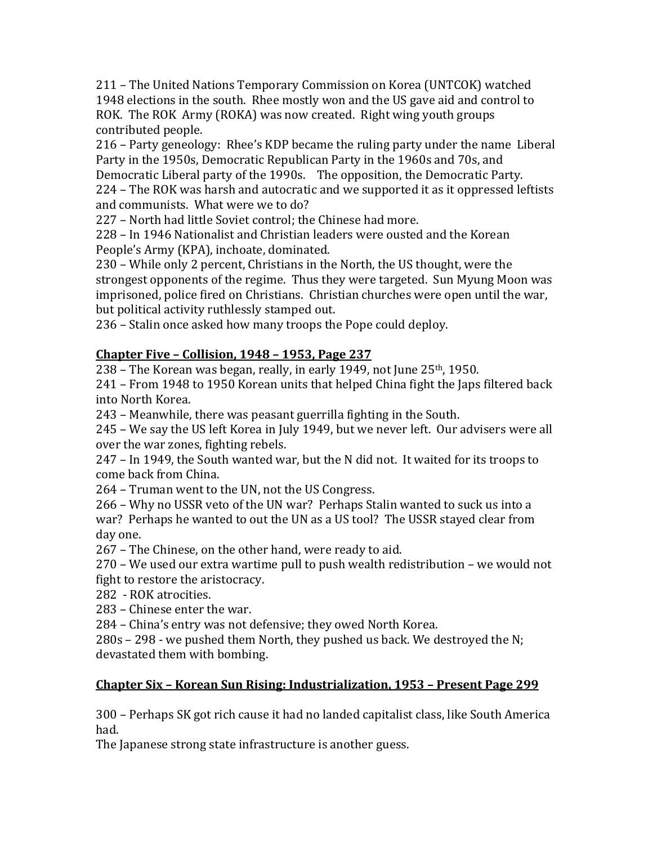211 – The United Nations Temporary Commission on Korea (UNTCOK) watched 1948 elections in the south. Rhee mostly won and the US gave aid and control to ROK. The ROK Army (ROKA) was now created. Right wing youth groups contributed people.

216 – Party geneology: Rhee's KDP became the ruling party under the name Liberal Party in the 1950s, Democratic Republican Party in the 1960s and 70s, and Democratic Liberal party of the 1990s. The opposition, the Democratic Party.

224 – The ROK was harsh and autocratic and we supported it as it oppressed leftists and communists. What were we to do?

227 – North had little Soviet control: the Chinese had more.

228 – In 1946 Nationalist and Christian leaders were ousted and the Korean People's Army (KPA), inchoate, dominated.

230 – While only 2 percent, Christians in the North, the US thought, were the strongest opponents of the regime. Thus they were targeted. Sun Myung Moon was imprisoned, police fired on Christians. Christian churches were open until the war, but political activity ruthlessly stamped out.

236 – Stalin once asked how many troops the Pope could deploy.

# **Chapter Five – Collision, 1948 – 1953, Page 237**

238 – The Korean was began, really, in early 1949, not June  $25<sup>th</sup>$ , 1950.

 $241$  – From 1948 to 1950 Korean units that helped China fight the Japs filtered back into North Korea.

243 – Meanwhile, there was peasant guerrilla fighting in the South.

245 – We say the US left Korea in July 1949, but we never left. Our advisers were all over the war zones, fighting rebels.

 $247$  – In 1949, the South wanted war, but the N did not. It waited for its troops to come back from China.

264 – Truman went to the UN, not the US Congress.

266 – Why no USSR veto of the UN war? Perhaps Stalin wanted to suck us into a war? Perhaps he wanted to out the UN as a US tool? The USSR stayed clear from day one.

267 – The Chinese, on the other hand, were ready to aid.

 $270$  – We used our extra wartime pull to push wealth redistribution – we would not fight to restore the aristocracy.

282 - ROK atrocities.

283 – Chinese enter the war.

284 – China's entry was not defensive; they owed North Korea.

 $280s - 298$  - we pushed them North, they pushed us back. We destroyed the N; devastated them with bombing.

# **Chapter Six - Korean Sun Rising: Industrialization, 1953 - Present Page 299**

300 – Perhaps SK got rich cause it had no landed capitalist class, like South America had. 

The Japanese strong state infrastructure is another guess.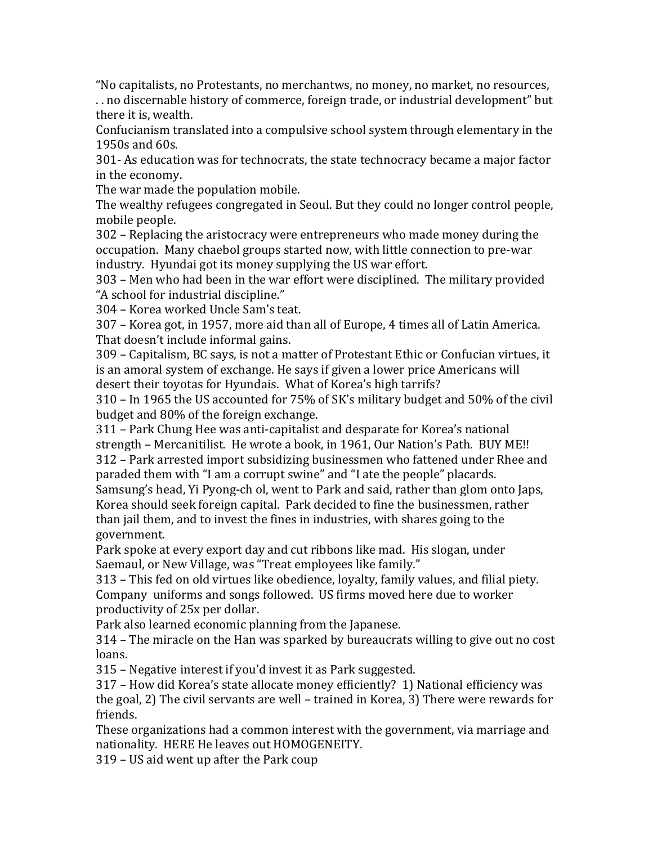"No capitalists, no Protestants, no merchantws, no money, no market, no resources, .. no discernable history of commerce, foreign trade, or industrial development" but

there it is, wealth.

Confucianism translated into a compulsive school system through elementary in the 1950s and  $60s$ .

301- As education was for technocrats, the state technocracy became a major factor in the economy.

The war made the population mobile.

The wealthy refugees congregated in Seoul. But they could no longer control people, mobile people.

302 – Replacing the aristocracy were entrepreneurs who made money during the occupation. Many chaebol groups started now, with little connection to pre-war industry. Hyundai got its money supplying the US war effort.

303 – Men who had been in the war effort were disciplined. The military provided "A school for industrial discipline."

304 - Korea worked Uncle Sam's teat.

307 – Korea got, in 1957, more aid than all of Europe, 4 times all of Latin America. That doesn't include informal gains.

309 – Capitalism, BC says, is not a matter of Protestant Ethic or Confucian virtues, it is an amoral system of exchange. He says if given a lower price Americans will desert their toyotas for Hyundais. What of Korea's high tarrifs?

 $310$  – In 1965 the US accounted for 75% of SK's military budget and 50% of the civil budget and 80% of the foreign exchange.

311 – Park Chung Hee was anti-capitalist and desparate for Korea's national strength – Mercanitilist. He wrote a book, in 1961, Our Nation's Path. BUY ME!! 312 – Park arrested import subsidizing businessmen who fattened under Rhee and paraded them with "I am a corrupt swine" and "I ate the people" placards.

Samsung's head, Yi Pyong-ch ol, went to Park and said, rather than glom onto Japs, Korea should seek foreign capital. Park decided to fine the businessmen, rather than jail them, and to invest the fines in industries, with shares going to the government. 

Park spoke at every export day and cut ribbons like mad. His slogan, under Saemaul, or New Village, was "Treat employees like family."

313 – This fed on old virtues like obedience, loyalty, family values, and filial piety. Company uniforms and songs followed. US firms moved here due to worker productivity of 25x per dollar.

Park also learned economic planning from the Japanese.

 $314$  – The miracle on the Han was sparked by bureaucrats willing to give out no cost loans. 

315 – Negative interest if you'd invest it as Park suggested.

 $317$  – How did Korea's state allocate money efficiently? 1) National efficiency was the goal, 2) The civil servants are well – trained in Korea, 3) There were rewards for friends. 

These organizations had a common interest with the government, via marriage and nationality. HERE He leaves out HOMOGENEITY.

319 – US aid went up after the Park coup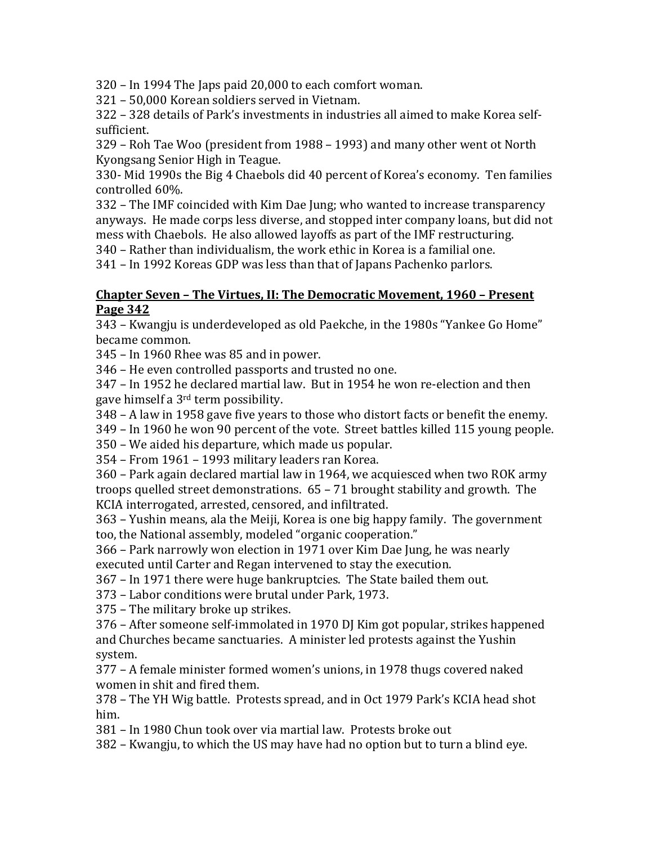$320$  – In 1994 The Japs paid  $20,000$  to each comfort woman.

321 - 50,000 Korean soldiers served in Vietnam.

 $322 - 328$  details of Park's investments in industries all aimed to make Korea selfsufficient. 

329 – Roh Tae Woo (president from 1988 – 1993) and many other went ot North Kyongsang Senior High in Teague.

330- Mid 1990s the Big 4 Chaebols did 40 percent of Korea's economy. Ten families controlled 60%.

332 - The IMF coincided with Kim Dae Jung; who wanted to increase transparency anyways. He made corps less diverse, and stopped inter company loans, but did not mess with Chaebols. He also allowed layoffs as part of the IMF restructuring.

 $340$  – Rather than individualism, the work ethic in Korea is a familial one.

341 - In 1992 Koreas GDP was less than that of Japans Pachenko parlors.

#### **Chapter Seven - The Virtues, II: The Democratic Movement, 1960 - Present Page 342**

343 – Kwangju is underdeveloped as old Paekche, in the 1980s "Yankee Go Home" became common.

 $345$  – In 1960 Rhee was 85 and in power.

346 – He even controlled passports and trusted no one.

347 – In 1952 he declared martial law. But in 1954 he won re-election and then gave himself a  $3<sup>rd</sup>$  term possibility.

348 – A law in 1958 gave five years to those who distort facts or benefit the enemy.

349 – In 1960 he won 90 percent of the vote. Street battles killed 115 young people.

350 – We aided his departure, which made us popular.

354 – From 1961 – 1993 military leaders ran Korea.

360 – Park again declared martial law in 1964, we acquiesced when two ROK army troops quelled street demonstrations.  $65 - 71$  brought stability and growth. The KCIA interrogated, arrested, censored, and infiltrated.

 $363$  – Yushin means, ala the Meiji, Korea is one big happy family. The government too, the National assembly, modeled "organic cooperation."

366 – Park narrowly won election in 1971 over Kim Dae Jung, he was nearly executed until Carter and Regan intervened to stay the execution.

367 – In 1971 there were huge bankruptcies. The State bailed them out.

373 – Labor conditions were brutal under Park, 1973.

375 – The military broke up strikes.

376 – After someone self-immolated in 1970 DJ Kim got popular, strikes happened and Churches became sanctuaries. A minister led protests against the Yushin system. 

377 - A female minister formed women's unions, in 1978 thugs covered naked women in shit and fired them.

378 – The YH Wig battle. Protests spread, and in Oct 1979 Park's KCIA head shot him. 

381 – In 1980 Chun took over via martial law. Protests broke out

382 – Kwangju, to which the US may have had no option but to turn a blind eye.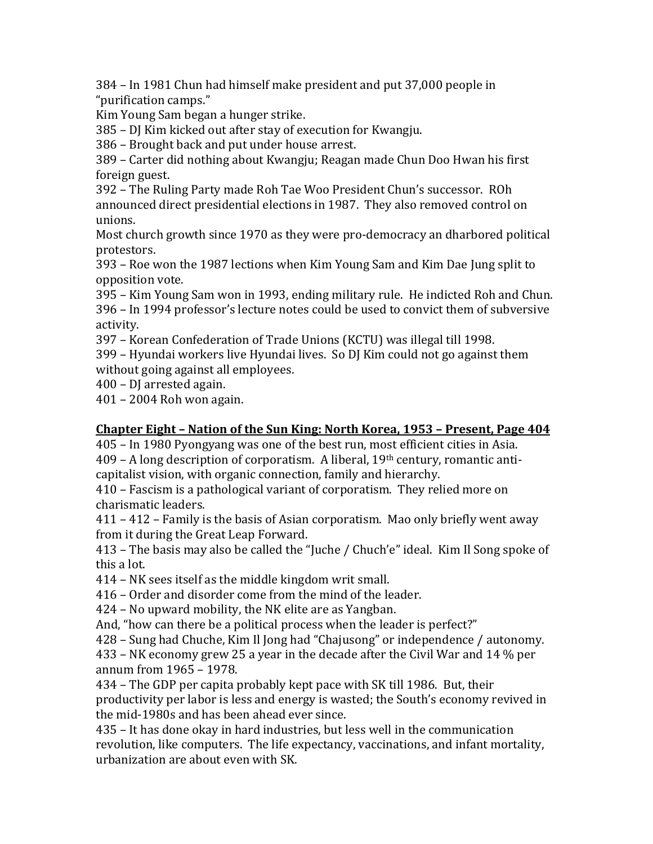$384 - In 1981$  Chun had himself make president and put  $37,000$  people in "purification camps." 

Kim Young Sam began a hunger strike.

385 – DJ Kim kicked out after stay of execution for Kwangju.

386 – Brought back and put under house arrest.

389 – Carter did nothing about Kwangju; Reagan made Chun Doo Hwan his first foreign guest.

392 - The Ruling Party made Roh Tae Woo President Chun's successor. ROh announced direct presidential elections in 1987. They also removed control on unions. 

Most church growth since 1970 as they were pro-democracy an dharbored political protestors. 

 $393$  – Roe won the 1987 lections when Kim Young Sam and Kim Dae Jung split to opposition vote.

395 – Kim Young Sam won in 1993, ending military rule. He indicted Roh and Chun. 396 – In 1994 professor's lecture notes could be used to convict them of subversive activity. 

397 - Korean Confederation of Trade Unions (KCTU) was illegal till 1998.

399 – Hyundai workers live Hyundai lives. So DJ Kim could not go against them without going against all employees.

400 - DJ arrested again.

 $401 - 2004$  Roh won again.

### **Chapter Eight** – Nation of the Sun King: North Korea, 1953 – Present, Page 404

405 – In 1980 Pyongyang was one of the best run, most efficient cities in Asia.  $409 - A$  long description of corporatism. A liberal,  $19<sup>th</sup>$  century, romantic anticapitalist vision, with organic connection, family and hierarchy.

410 – Fascism is a pathological variant of corporatism. They relied more on charismatic leaders.

 $411 - 412$  – Family is the basis of Asian corporatism. Mao only briefly went away from it during the Great Leap Forward.

 $413$  – The basis may also be called the "Juche / Chuch'e" ideal. Kim Il Song spoke of this a lot.

414 – NK sees itself as the middle kingdom writ small.

416 – Order and disorder come from the mind of the leader.

 $424$  – No upward mobility, the NK elite are as Yangban.

And, "how can there be a political process when the leader is perfect?"

428 – Sung had Chuche, Kim Il Jong had "Chajusong" or independence / autonomy.

 $433$  – NK economy grew 25 a year in the decade after the Civil War and 14 % per annum from  $1965 - 1978$ .

434 – The GDP per capita probably kept pace with SK till 1986. But, their productivity per labor is less and energy is wasted; the South's economy revived in the mid-1980s and has been ahead ever since.

435 – It has done okay in hard industries, but less well in the communication revolution, like computers. The life expectancy, vaccinations, and infant mortality, urbanization are about even with SK.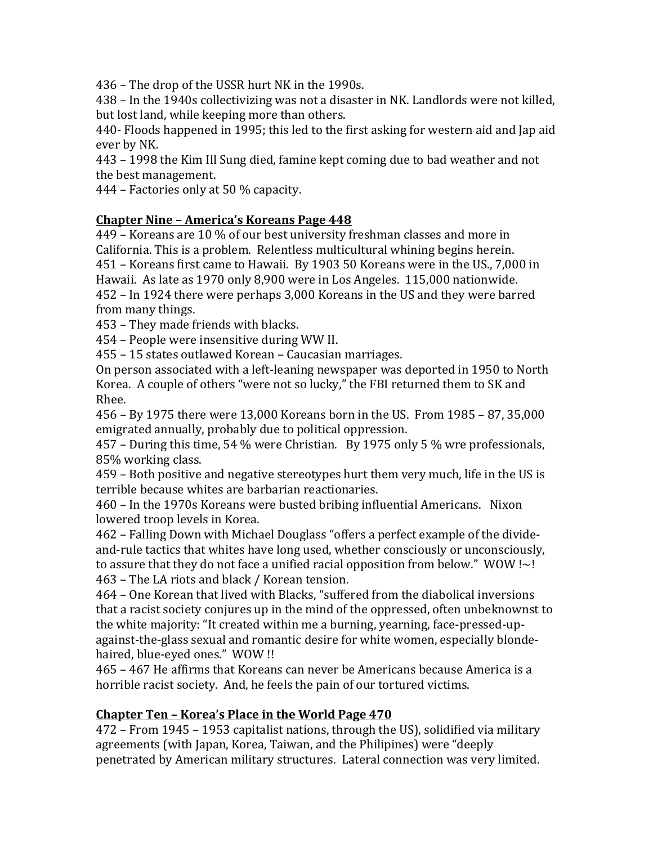436 – The drop of the USSR hurt NK in the 1990s.

438 – In the 1940s collectivizing was not a disaster in NK. Landlords were not killed, but lost land, while keeping more than others.

440- Floods happened in 1995; this led to the first asking for western aid and Jap aid ever by NK.

443 - 1998 the Kim Ill Sung died, famine kept coming due to bad weather and not the best management.

 $444$  – Factories only at 50 % capacity.

## **Chapter Nine - America's Koreans Page 448**

449 – Koreans are 10 % of our best university freshman classes and more in California. This is a problem. Relentless multicultural whining begins herein. 451 – Koreans first came to Hawaii. By 1903 50 Koreans were in the US., 7,000 in Hawaii. As late as 1970 only 8,900 were in Los Angeles. 115,000 nationwide. 452 – In 1924 there were perhaps 3,000 Koreans in the US and they were barred from many things.

453 – They made friends with blacks.

454 – People were insensitive during WW II.

455 – 15 states outlawed Korean – Caucasian marriages.

On person associated with a left-leaning newspaper was deported in 1950 to North Korea. A couple of others "were not so lucky," the FBI returned them to SK and Rhee. 

 $456 - By 1975$  there were  $13,000$  Koreans born in the US. From  $1985 - 87,35,000$ emigrated annually, probably due to political oppression.

457 – During this time, 54 % were Christian. By 1975 only 5 % wre professionals, 85% working class.

459 – Both positive and negative stereotypes hurt them very much, life in the US is terrible because whites are barbarian reactionaries.

460 – In the 1970s Koreans were busted bribing influential Americans. Nixon lowered troop levels in Korea.

462 – Falling Down with Michael Douglass "offers a perfect example of the divideand-rule tactics that whites have long used, whether consciously or unconsciously, to assure that they do not face a unified racial opposition from below."  $WOW \sim !$ 463 – The LA riots and black / Korean tension.

464 – One Korean that lived with Blacks, "suffered from the diabolical inversions that a racist society conjures up in the mind of the oppressed, often unbeknownst to the white majority: "It created within me a burning, yearning, face-pressed-upagainst-the-glass sexual and romantic desire for white women, especially blondehaired, blue-eyed ones." WOW !!

465 – 467 He affirms that Koreans can never be Americans because America is a horrible racist society. And, he feels the pain of our tortured victims.

## **Chapter Ten - Korea's Place in the World Page 470**

 $472$  – From 1945 – 1953 capitalist nations, through the US), solidified via military agreements (with Japan, Korea, Taiwan, and the Philipines) were "deeply penetrated by American military structures. Lateral connection was very limited.